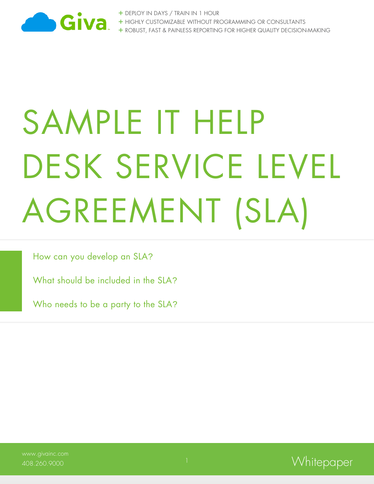

+ DEPLOY IN DAYS / TRAIN IN 1 HOUR + HIGHLY CUSTOMIZABLE WITHOUT PROGRAMMING OR CONSULTANTS + ROBUST, FAST & PAINLESS REPORTING FOR HIGHER QUALITY DECISION-MAKING

# SAMPLE IT HEIP DESK SERVICE LEVEL AGREEMENT (SLA)

How can you develop an SLA?

What should be included in the SLA?

Who needs to be a party to the SLA?

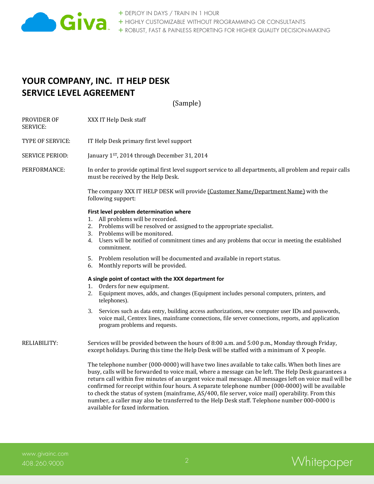

# **YOUR COMPANY, INC. IT HELP DESK SERVICE LEVEL AGREEMENT**

(Sample)

PROVIDER OF XXX IT Help Desk staff SERVICE:

TYPE OF SERVICE: IT Help Desk primary first level support

SERVICE PERIOD: January 1<sup>ST</sup>, 2014 through December 31, 2014

PERFORMANCE: In order to provide optimal first level support service to all departments, all problem and repair calls must be received by the Help Desk.

> The company XXX IT HELP DESK will provide (Customer Name/Department Name) with the following support:

# **First level problem determination where**

- 1. All problems will be recorded.
- 2. Problems will be resolved or assigned to the appropriate specialist.
- 3. Problems will be monitored.
- 4. Users will be notified of commitment times and any problems that occur in meeting the established commitment.
- 5. Problem resolution will be documented and available in report status.
- 6. Monthly reports will be provided.

## **A single point of contact with the XXX department for**

- 1. Orders for new equipment.
- 2. Equipment moves, adds, and changes (Equipment includes personal computers, printers, and telephones).
- 3. Services such as data entry, building access authorizations, new computer user IDs and passwords, voice mail, Centrex lines, mainframe connections, file server connections, reports, and application program problems and requests.

RELIABILITY: Services will be provided between the hours of 8:00 a.m. and 5:00 p.m., Monday through Friday, except holidays. During this time the Help Desk will be staffed with a minimum of X people.

> The telephone number (000-0000) will have two lines available to take calls. When both lines are busy, calls will be forwarded to voice mail, where a message can be left. The Help Desk guarantees a return call within five minutes of an urgent voice mail message. All messages left on voice mail will be confirmed for receipt within four hours. A separate telephone number (000-0000) will be available to check the status of system (mainframe, AS/400, file server, voice mail) operability. From this number, a caller may also be transferred to the Help Desk staff. Telephone number 000-0000 is available for faxed information.

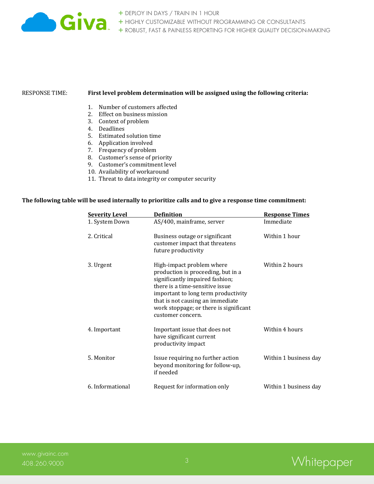

# RESPONSE TIME: **First level problem determination will be assigned using the following criteria:**

- 1. Number of customers affected
- 2. Effect on business mission
- 3. Context of problem
- 4. Deadlines
- 5. Estimated solution time
- 6. Application involved
- 7. Frequency of problem
- 8. Customer's sense of priority
- 9. Customer's commitment level
- 10. Availability of workaround
- 11. Threat to data integrity or computer security

# **The following table will be used internally to prioritize calls and to give a response time commitment:**

| <b>Severity Level</b> | <b>Definition</b>                                                                                                                                                                                                                                                               | <b>Response Times</b> |
|-----------------------|---------------------------------------------------------------------------------------------------------------------------------------------------------------------------------------------------------------------------------------------------------------------------------|-----------------------|
| 1. System Down        | AS/400, mainframe, server                                                                                                                                                                                                                                                       | Immediate             |
| 2. Critical           | Business outage or significant<br>customer impact that threatens<br>future productivity                                                                                                                                                                                         | Within 1 hour         |
| 3. Urgent             | High-impact problem where<br>production is proceeding, but in a<br>significantly impaired fashion;<br>there is a time-sensitive issue<br>important to long term productivity<br>that is not causing an immediate<br>work stoppage; or there is significant<br>customer concern. | Within 2 hours        |
| 4. Important          | Important issue that does not<br>have significant current<br>productivity impact                                                                                                                                                                                                | Within 4 hours        |
| 5. Monitor            | Issue requiring no further action<br>beyond monitoring for follow-up,<br>if needed                                                                                                                                                                                              | Within 1 business day |
| 6. Informational      | Request for information only                                                                                                                                                                                                                                                    | Within 1 business day |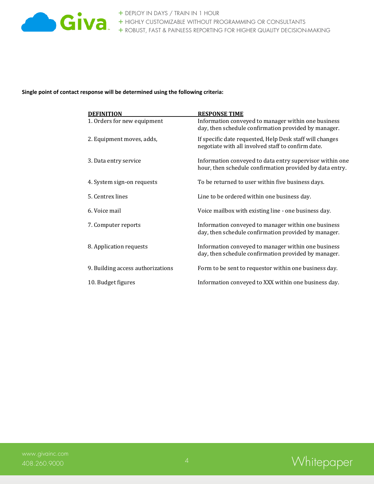

**Single point of contact response will be determined using the following criteria:**

| <b>DEFINITION</b>                 | <b>RESPONSE TIME</b>                                                                                                 |
|-----------------------------------|----------------------------------------------------------------------------------------------------------------------|
| 1. Orders for new equipment       | Information conveyed to manager within one business<br>day, then schedule confirmation provided by manager.          |
| 2. Equipment moves, adds,         | If specific date requested, Help Desk staff will changes<br>negotiate with all involved staff to confirm date.       |
| 3. Data entry service             | Information conveyed to data entry supervisor within one<br>hour, then schedule confirmation provided by data entry. |
| 4. System sign-on requests        | To be returned to user within five business days.                                                                    |
| 5. Centrex lines                  | Line to be ordered within one business day.                                                                          |
| 6. Voice mail                     | Voice mailbox with existing line - one business day.                                                                 |
| 7. Computer reports               | Information conveyed to manager within one business<br>day, then schedule confirmation provided by manager.          |
| 8. Application requests           | Information conveyed to manager within one business<br>day, then schedule confirmation provided by manager.          |
| 9. Building access authorizations | Form to be sent to requestor within one business day.                                                                |
| 10. Budget figures                | Information conveyed to XXX within one business day.                                                                 |

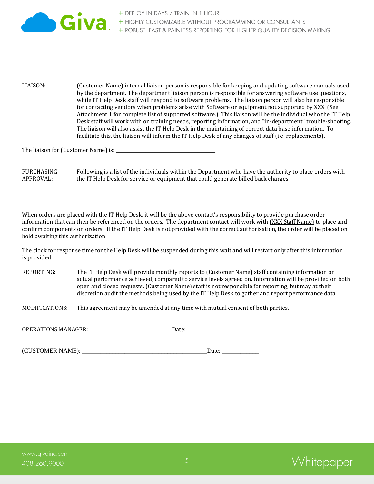

LIAISON: (Customer Name) internal liaison person is responsible for keeping and updating software manuals used by the department. The department liaison person is responsible for answering software use questions, while IT Help Desk staff will respond to software problems. The liaison person will also be responsible for contacting vendors when problems arise with Software or equipment not supported by XXX. (See Attachment 1 for complete list of supported software.) This liaison will be the individual who the IT Help Desk staff will work with on training needs, reporting information, and "in-department" trouble-shooting. The liaison will also assist the IT Help Desk in the maintaining of correct data base information. To facilitate this, the liaison will inform the IT Help Desk of any changes of staff (i.e. replacements).

The liaison for (Customer Name) is: \_\_\_\_\_\_\_\_\_\_\_\_\_\_\_\_\_\_\_\_\_\_\_\_\_\_\_\_\_\_\_\_\_\_\_\_\_\_\_\_\_\_\_\_

PURCHASING Following is a list of the individuals within the Department who have the authority to place orders with APPROVAL: the IT Help Desk for service or equipment that could generate billed back charges.

\_\_\_\_\_\_\_\_\_\_\_\_\_\_\_\_\_\_\_\_\_\_\_\_\_\_\_\_\_\_\_\_\_\_\_\_\_\_\_\_\_\_\_\_\_\_\_\_\_\_\_\_\_\_\_\_\_\_\_\_\_\_\_\_\_\_

When orders are placed with the IT Help Desk, it will be the above contact's responsibility to provide purchase order information that can then be referenced on the orders. The department contact will work with (XXX Staff Name) to place and confirm components on orders. If the IT Help Desk is not provided with the correct authorization, the order will be placed on hold awaiting this authorization.

The clock for response time for the Help Desk will be suspended during this wait and will restart only after this information is provided.

REPORTING: The IT Help Desk will provide monthly reports to [Customer Name] staff containing information on actual performance achieved, compared to service levels agreed on. Information will be provided on both open and closed requests. (Customer Name) staff is not responsible for reporting, but may at their discretion audit the methods being used by the IT Help Desk to gather and report performance data.

MODIFICATIONS: This agreement may be amended at any time with mutual consent of both parties.

OPERATIONS MANAGER: \_\_\_\_\_\_\_\_\_\_\_\_\_\_\_\_\_\_\_\_\_\_\_\_\_\_\_\_\_\_\_\_\_\_ Date: \_\_\_\_\_\_\_\_\_\_\_\_\_\_\_\_\_\_\_

(CUSTOMER NAME): \_\_\_\_\_\_\_\_\_\_\_\_\_\_\_\_\_\_\_\_\_\_\_\_\_\_\_\_\_\_\_\_\_\_\_\_\_\_\_\_\_Date: \_\_\_\_\_\_\_\_\_\_\_\_